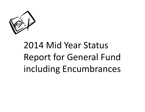

# 2014 Mid Year Status Report for General Fund including Encumbrances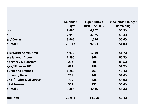|                             | Amended                | <b>Expenditures</b><br>thru June 2014 | % Amended Budget          |
|-----------------------------|------------------------|---------------------------------------|---------------------------|
| lice                        | <b>Budget</b><br>8,494 | 4,202                                 | <b>Remaining</b><br>50.5% |
| e                           | 7,958                  | 4,025                                 | 49.4%                     |
| gal/ Courts                 | 3,665                  | 1,626                                 | 55.6%                     |
| <b>b</b> Total A            | 20,117                 | 9,853                                 | 51.0%                     |
|                             |                        |                                       |                           |
| blic Works Admin Area       | 4,013                  | 1,939                                 | 51.7%                     |
| iscellaneous Accounts       | 2,390                  | 806                                   | 66.3%                     |
| ntingency & Transfers       | 262                    | 30                                    | 88.5%                     |
| ayor/Finance/HR             | 632                    | 299                                   | 52.7%                     |
| <b>x Dept and Refunds</b>   | 1,280                  | 763                                   | 40.4%                     |
| <b>mmunity Devel</b>        | 251                    | 108                                   | 57.0%                     |
| uncil/ Audit/ Civil Service | 735                    | 338                                   | 54.0%                     |
| pital Reserve               | 303                    | 132                                   | 56.4%                     |
| <b>b</b> Total B            | 9,866                  | 4,415                                 | 55.3%                     |
|                             |                        |                                       |                           |
| and Total                   | 29,983                 | 14,268                                | 52.4%                     |
|                             |                        |                                       |                           |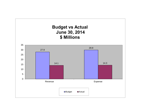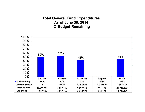#### **Total General Fund Expenditures As of June 30, 2014 % Budget Remaining**

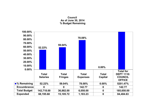#### **Council As of June 30, 2014 % Budget Remaining**

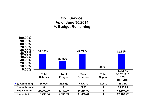# **Civil Service As of June 30,2014 % Budget Remaining**

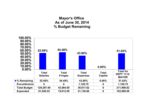# **Mayor's Office As of June 30, 2014 % Budget Remaining**

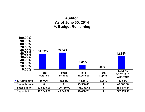# **Auditor As of June 30, 2014 % Budget Remaining**

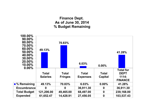# **Finance Dept. As of June 30, 2014 % Budget Remaining**

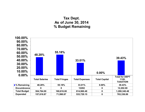# **Tax Dept. As of June 30, 2014 % Budget Remaining**

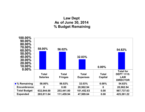# **Law Dept As of June 30, 2014 % Budget Remaining**

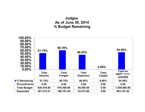# **Judges As of June 30, 2014 % Budget Remaining**

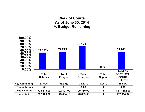# **Clerk of Courts As of June 30, 2014 % Budget Remaining**

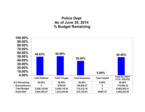# **Police Dept As of June 30, 2014 % Budget Remaining**

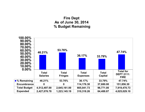# **Fire Dept As of June 30, 2014 % Budget Remaining**

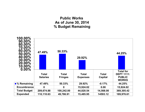# **Public Works As of June 30, 2014 % Budget Remaining**

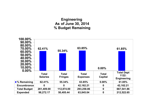# **Engineering As of June 30, 2014 % Budget Remaining**

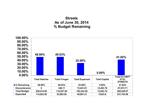## **Streets As of June 30, 2014 % Budget Remaining**

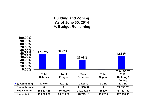#### **Building and Zoning As of June 30, 2014 % Budget Remaining**

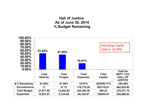# **Hall of Justice As of June 30, 2014 % Budget Remaining**

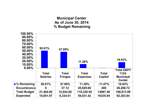## **Municipal Center As of June 30, 2014 % Budget Remaining**

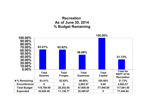# **Recreation As of June 30, 2014 % Budget Remaining**

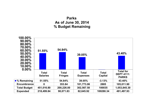# **Parks As of June 30, 2014 % Budget Remaining**

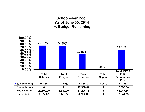#### **Schoonover Pool As of June 30, 2014 % Budget Remaining**

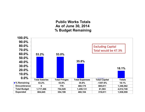#### **Public Works Totals As of June 30, 2014 % Budget Remaining**

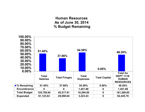# **Human Resources As of June 30, 2014 % Budget Remaining**

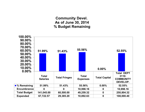#### **Community Devel. As of June 30, 2014 % Budget Remaining**

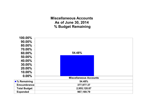**Miscellaneous Accounts As of June 30, 2014 % Budget Remaining**

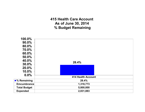**415 Health Care Account As of June 30, 2014 % Budget Remaining**